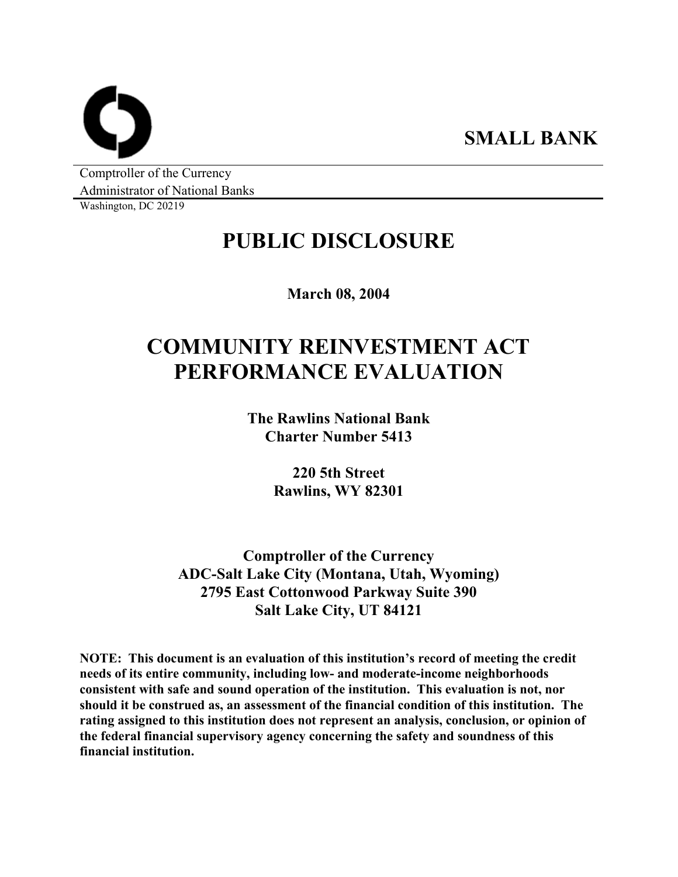**SMALL BANK** 

Comptroller of the Currency Administrator of National Banks

Washington, DC 20219

## **PUBLIC DISCLOSURE**

**March 08, 2004** 

# **COMMUNITY REINVESTMENT ACT PERFORMANCE EVALUATION**

**The Rawlins National Bank Charter Number 5413** 

> **220 5th Street Rawlins, WY 82301**

**Comptroller of the Currency ADC-Salt Lake City (Montana, Utah, Wyoming) 2795 East Cottonwood Parkway Suite 390 Salt Lake City, UT 84121** 

**NOTE: This document is an evaluation of this institution's record of meeting the credit needs of its entire community, including low- and moderate-income neighborhoods consistent with safe and sound operation of the institution. This evaluation is not, nor should it be construed as, an assessment of the financial condition of this institution. The rating assigned to this institution does not represent an analysis, conclusion, or opinion of the federal financial supervisory agency concerning the safety and soundness of this financial institution.**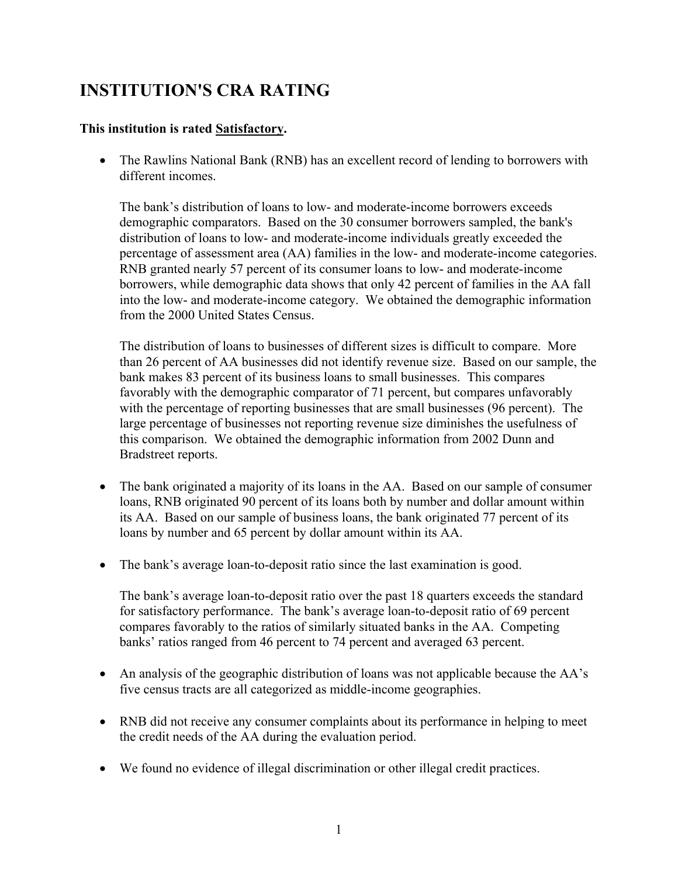### **INSTITUTION'S CRA RATING**

#### **This institution is rated Satisfactory.**

• The Rawlins National Bank (RNB) has an excellent record of lending to borrowers with different incomes.

The bank's distribution of loans to low- and moderate-income borrowers exceeds demographic comparators. Based on the 30 consumer borrowers sampled, the bank's distribution of loans to low- and moderate-income individuals greatly exceeded the percentage of assessment area (AA) families in the low- and moderate-income categories. RNB granted nearly 57 percent of its consumer loans to low- and moderate-income borrowers, while demographic data shows that only 42 percent of families in the AA fall into the low- and moderate-income category. We obtained the demographic information from the 2000 United States Census.

The distribution of loans to businesses of different sizes is difficult to compare. More than 26 percent of AA businesses did not identify revenue size. Based on our sample, the bank makes 83 percent of its business loans to small businesses. This compares favorably with the demographic comparator of 71 percent, but compares unfavorably with the percentage of reporting businesses that are small businesses (96 percent). The large percentage of businesses not reporting revenue size diminishes the usefulness of this comparison. We obtained the demographic information from 2002 Dunn and Bradstreet reports.

- The bank originated a majority of its loans in the AA. Based on our sample of consumer loans, RNB originated 90 percent of its loans both by number and dollar amount within its AA. Based on our sample of business loans, the bank originated 77 percent of its loans by number and 65 percent by dollar amount within its AA.
- The bank's average loan-to-deposit ratio since the last examination is good.

The bank's average loan-to-deposit ratio over the past 18 quarters exceeds the standard for satisfactory performance. The bank's average loan-to-deposit ratio of 69 percent compares favorably to the ratios of similarly situated banks in the AA. Competing banks' ratios ranged from 46 percent to 74 percent and averaged 63 percent.

- An analysis of the geographic distribution of loans was not applicable because the AA's five census tracts are all categorized as middle-income geographies.
- RNB did not receive any consumer complaints about its performance in helping to meet the credit needs of the AA during the evaluation period.
- We found no evidence of illegal discrimination or other illegal credit practices.